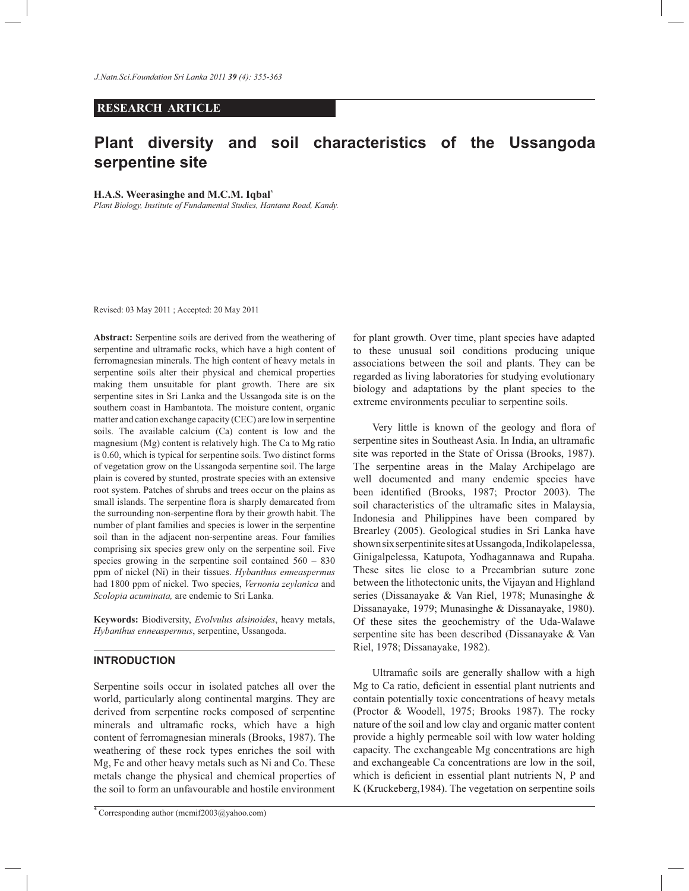## **RESEARCH ARTICLE**

# **Plant diversity and soil characteristics of the Ussangoda serpentine site**

#### **H.A.S. Weerasinghe and M.C.M. Iqbal\***

*Plant Biology, Institute of Fundamental Studies, Hantana Road, Kandy.*

Revised: 03 May 2011 ; Accepted: 20 May 2011

**Abstract:** Serpentine soils are derived from the weathering of serpentine and ultramafic rocks, which have a high content of ferromagnesian minerals. The high content of heavy metals in serpentine soils alter their physical and chemical properties making them unsuitable for plant growth. There are six serpentine sites in Sri Lanka and the Ussangoda site is on the southern coast in Hambantota. The moisture content, organic matter and cation exchange capacity (CEC) are low in serpentine soils. The available calcium (Ca) content is low and the magnesium (Mg) content is relatively high. The Ca to Mg ratio is 0.60, which is typical for serpentine soils. Two distinct forms of vegetation grow on the Ussangoda serpentine soil. The large plain is covered by stunted, prostrate species with an extensive root system. Patches of shrubs and trees occur on the plains as small islands. The serpentine flora is sharply demarcated from the surrounding non-serpentine flora by their growth habit. The number of plant families and species is lower in the serpentine soil than in the adjacent non-serpentine areas. Four families comprising six species grew only on the serpentine soil. Five species growing in the serpentine soil contained 560 – 830 ppm of nickel (Ni) in their tissues. *Hybanthus enneaspermus* had 1800 ppm of nickel. Two species, *Vernonia zeylanica* and *Scolopia acuminata,* are endemic to Sri Lanka.

**Keywords:** Biodiversity, *Evolvulus alsinoides*, heavy metals, *Hybanthus enneaspermus*, serpentine, Ussangoda.

## **INTRODUCTION**

Serpentine soils occur in isolated patches all over the world, particularly along continental margins. They are derived from serpentine rocks composed of serpentine minerals and ultramafic rocks, which have a high content of ferromagnesian minerals (Brooks, 1987). The weathering of these rock types enriches the soil with Mg, Fe and other heavy metals such as Ni and Co. These metals change the physical and chemical properties of the soil to form an unfavourable and hostile environment for plant growth. Over time, plant species have adapted to these unusual soil conditions producing unique associations between the soil and plants. They can be regarded as living laboratories for studying evolutionary biology and adaptations by the plant species to the extreme environments peculiar to serpentine soils.

 Very little is known of the geology and flora of serpentine sites in Southeast Asia. In India, an ultramafic site was reported in the State of Orissa (Brooks, 1987). The serpentine areas in the Malay Archipelago are well documented and many endemic species have been identified (Brooks, 1987; Proctor 2003). The soil characteristics of the ultramafic sites in Malaysia, Indonesia and Philippines have been compared by Brearley (2005). Geological studies in Sri Lanka have shown six serpentinite sites at Ussangoda, Indikolapelessa, Ginigalpelessa, Katupota, Yodhagannawa and Rupaha. These sites lie close to a Precambrian suture zone between the lithotectonic units, the Vijayan and Highland series (Dissanayake & Van Riel, 1978; Munasinghe & Dissanayake, 1979; Munasinghe & Dissanayake, 1980). Of these sites the geochemistry of the Uda-Walawe serpentine site has been described (Dissanayake & Van Riel, 1978; Dissanayake, 1982).

 Ultramafic soils are generally shallow with a high Mg to Ca ratio, deficient in essential plant nutrients and contain potentially toxic concentrations of heavy metals (Proctor & Woodell, 1975; Brooks 1987). The rocky nature of the soil and low clay and organic matter content provide a highly permeable soil with low water holding capacity. The exchangeable Mg concentrations are high and exchangeable Ca concentrations are low in the soil, which is deficient in essential plant nutrients N, P and K (Kruckeberg,1984). The vegetation on serpentine soils

<sup>\*</sup> Corresponding author (mcmif2003@yahoo.com)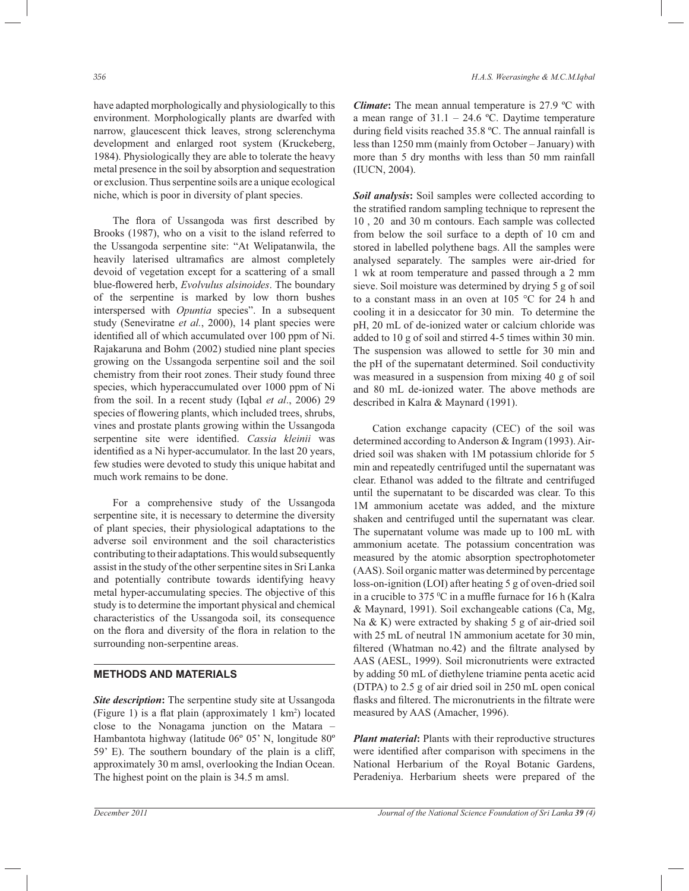have adapted morphologically and physiologically to this environment. Morphologically plants are dwarfed with narrow, glaucescent thick leaves, strong sclerenchyma development and enlarged root system (Kruckeberg, 1984). Physiologically they are able to tolerate the heavy metal presence in the soil by absorption and sequestration or exclusion. Thus serpentine soils are a unique ecological niche, which is poor in diversity of plant species.

 The flora of Ussangoda was first described by Brooks (1987), who on a visit to the island referred to the Ussangoda serpentine site: "At Welipatanwila, the heavily laterised ultramafics are almost completely devoid of vegetation except for a scattering of a small blue-flowered herb, *Evolvulus alsinoides*. The boundary of the serpentine is marked by low thorn bushes interspersed with *Opuntia* species". In a subsequent study (Seneviratne *et al.*, 2000), 14 plant species were identified all of which accumulated over 100 ppm of Ni. Rajakaruna and Bohm (2002) studied nine plant species growing on the Ussangoda serpentine soil and the soil chemistry from their root zones. Their study found three species, which hyperaccumulated over 1000 ppm of Ni from the soil. In a recent study (Iqbal *et al*., 2006) 29 species of flowering plants, which included trees, shrubs, vines and prostate plants growing within the Ussangoda serpentine site were identified. *Cassia kleinii* was identified as a Ni hyper-accumulator. In the last 20 years, few studies were devoted to study this unique habitat and much work remains to be done.

 For a comprehensive study of the Ussangoda serpentine site, it is necessary to determine the diversity of plant species, their physiological adaptations to the adverse soil environment and the soil characteristics contributing to their adaptations. This would subsequently assist in the study of the other serpentine sites in Sri Lanka and potentially contribute towards identifying heavy metal hyper-accumulating species. The objective of this study is to determine the important physical and chemical characteristics of the Ussangoda soil, its consequence on the flora and diversity of the flora in relation to the surrounding non-serpentine areas.

## **METHODS AND MATERIALS**

*Site description***:** The serpentine study site at Ussangoda (Figure 1) is a flat plain (approximately 1 km<sup>2</sup> ) located close to the Nonagama junction on the Matara – Hambantota highway (latitude 06º 05' N, longitude 80º 59' E). The southern boundary of the plain is a cliff, approximately 30 m amsl, overlooking the Indian Ocean. The highest point on the plain is 34.5 m amsl.

*Climate***:** The mean annual temperature is 27.9 ºC with a mean range of  $31.1 - 24.6$  °C. Daytime temperature during field visits reached 35.8 ºC. The annual rainfall is less than 1250 mm (mainly from October – January) with more than 5 dry months with less than 50 mm rainfall (IUCN, 2004).

*Soil analysis***:** Soil samples were collected according to the stratified random sampling technique to represent the 10 , 20 and 30 m contours. Each sample was collected from below the soil surface to a depth of 10 cm and stored in labelled polythene bags. All the samples were analysed separately. The samples were air-dried for 1 wk at room temperature and passed through a 2 mm sieve. Soil moisture was determined by drying 5 g of soil to a constant mass in an oven at 105 °C for 24 h and cooling it in a desiccator for 30 min. To determine the pH, 20 mL of de-ionized water or calcium chloride was added to 10 g of soil and stirred 4-5 times within 30 min. The suspension was allowed to settle for 30 min and the pH of the supernatant determined. Soil conductivity was measured in a suspension from mixing 40 g of soil and 80 mL de-ionized water. The above methods are described in Kalra & Maynard (1991).

 Cation exchange capacity (CEC) of the soil was determined according to Anderson & Ingram (1993). Airdried soil was shaken with 1M potassium chloride for 5 min and repeatedly centrifuged until the supernatant was clear. Ethanol was added to the filtrate and centrifuged until the supernatant to be discarded was clear. To this 1M ammonium acetate was added, and the mixture shaken and centrifuged until the supernatant was clear. The supernatant volume was made up to 100 mL with ammonium acetate. The potassium concentration was measured by the atomic absorption spectrophotometer (AAS). Soil organic matter was determined by percentage loss-on-ignition (LOI) after heating 5 g of oven-dried soil in a crucible to 375  $\mathrm{C}$  in a muffle furnace for 16 h (Kalra & Maynard, 1991). Soil exchangeable cations (Ca, Mg, Na & K) were extracted by shaking 5 g of air-dried soil with 25 mL of neutral 1N ammonium acetate for 30 min, filtered (Whatman no.42) and the filtrate analysed by AAS (AESL, 1999). Soil micronutrients were extracted by adding 50 mL of diethylene triamine penta acetic acid (DTPA) to 2.5 g of air dried soil in 250 mL open conical flasks and filtered. The micronutrients in the filtrate were measured by AAS (Amacher, 1996).

*Plant material***:** Plants with their reproductive structures were identified after comparison with specimens in the National Herbarium of the Royal Botanic Gardens, Peradeniya. Herbarium sheets were prepared of the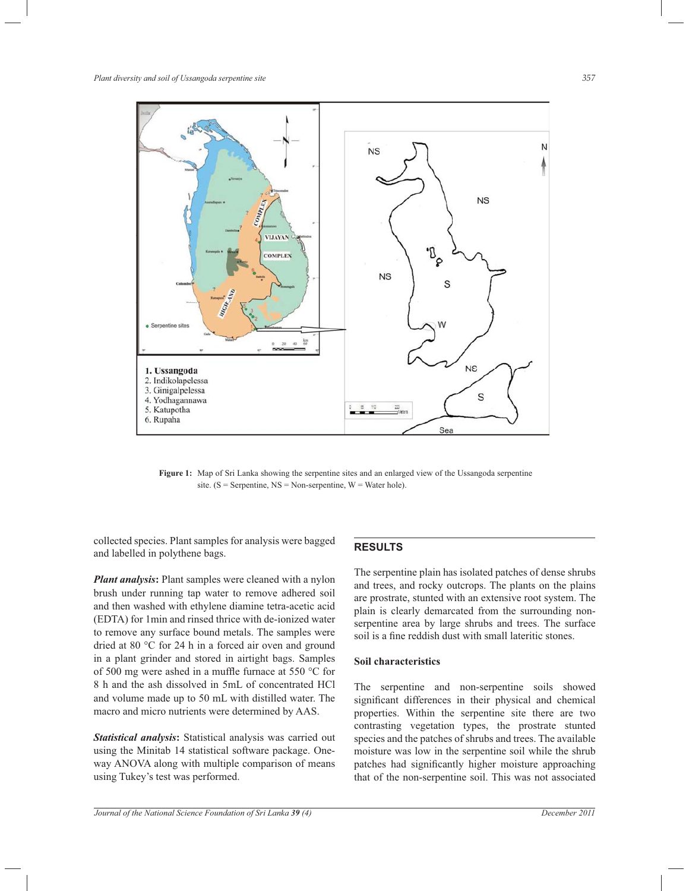

Figure 1: Map of Sri Lanka showing the serpentine sites and an enlarged view of the Ussangoda serpentine site. ( $S =$  Serpentine,  $NS =$  Non-serpentine,  $W =$  Water hole).

collected species. Plant samples for analysis were bagged and labelled in polythene bags.

*Plant analysis***:** Plant samples were cleaned with a nylon brush under running tap water to remove adhered soil and then washed with ethylene diamine tetra-acetic acid (EDTA) for 1min and rinsed thrice with de-ionized water to remove any surface bound metals. The samples were dried at 80 °C for 24 h in a forced air oven and ground in a plant grinder and stored in airtight bags. Samples of 500 mg were ashed in a muffle furnace at 550 °C for 8 h and the ash dissolved in 5mL of concentrated HCl and volume made up to 50 mL with distilled water. The macro and micro nutrients were determined by AAS.

*Statistical analysis***:** Statistical analysis was carried out using the Minitab 14 statistical software package. Oneway ANOVA along with multiple comparison of means using Tukey's test was performed.

## **RESULTS**

The serpentine plain has isolated patches of dense shrubs and trees, and rocky outcrops. The plants on the plains are prostrate, stunted with an extensive root system. The plain is clearly demarcated from the surrounding nonserpentine area by large shrubs and trees. The surface soil is a fine reddish dust with small lateritic stones.

### **Soil characteristics**

The serpentine and non-serpentine soils showed significant differences in their physical and chemical properties. Within the serpentine site there are two contrasting vegetation types, the prostrate stunted species and the patches of shrubs and trees. The available moisture was low in the serpentine soil while the shrub patches had significantly higher moisture approaching that of the non-serpentine soil. This was not associated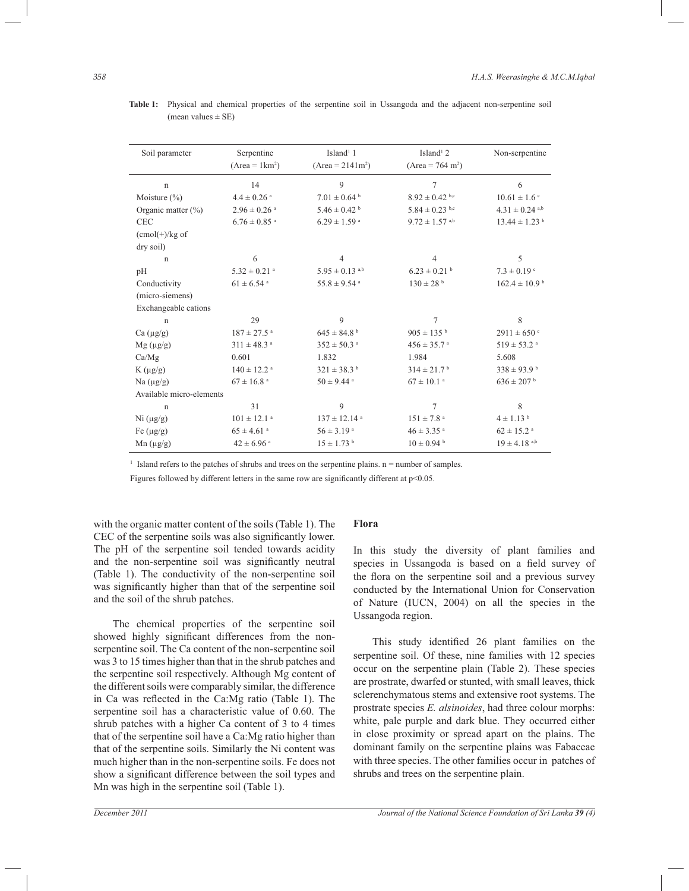| Soil parameter              | Serpentine<br>$(Area = 1 km2)$ | Island <sup>1</sup> 1<br>$(Area = 2141m2)$ | Island <sup>1</sup> 2<br>$(Area = 764 m2)$ | Non-serpentine                 |  |
|-----------------------------|--------------------------------|--------------------------------------------|--------------------------------------------|--------------------------------|--|
| $\mathbf n$                 | 14                             | 9                                          | $\overline{7}$                             | 6                              |  |
| Moisture $(\% )$            | $4.4 \pm 0.26$ <sup>a</sup>    | $7.01 \pm 0.64$ <sup>b</sup>               | $8.92 \pm 0.42$ b,c                        | $10.61 \pm 1.6$ <sup>c</sup>   |  |
| Organic matter $(\% )$      | $2.96 \pm 0.26$ <sup>a</sup>   | $5.46 \pm 0.42$                            | $5.84 \pm 0.23$ b,c                        | $4.31 \pm 0.24$ <sup>a,b</sup> |  |
| <b>CEC</b>                  | $6.76 \pm 0.85$ <sup>a</sup>   | $6.29 \pm 1.59$ <sup>a</sup>               | $9.72 \pm 1.57$ a,b                        | $13.44 \pm 1.23$ <sup>b</sup>  |  |
| $(cmol(+)/kg of$            |                                |                                            |                                            |                                |  |
| dry soil)                   |                                |                                            |                                            |                                |  |
| $\mathbf n$                 | 6                              | 4                                          | $\overline{4}$                             | 5                              |  |
| pH                          | $5.32 \pm 0.21$ <sup>a</sup>   | $5.95 \pm 0.13$ <sup>a,b</sup>             | $6.23 \pm 0.21$ <sup>b</sup>               | $7.3 \pm 0.19$ c               |  |
| Conductivity                | $61 \pm 6.54$ <sup>a</sup>     | $55.8 \pm 9.54$ <sup>a</sup>               | $130 \pm 28$ b                             | $162.4 \pm 10.9^{\text{ b}}$   |  |
| (micro-siemens)             |                                |                                            |                                            |                                |  |
| Exchangeable cations        |                                |                                            |                                            |                                |  |
| $\mathbf n$                 | 29                             | 9                                          | $\tau$                                     | 8                              |  |
| $Ca \left( \mu g/g \right)$ | $187 \pm 27.5$ <sup>a</sup>    | $645 \pm 84.8^{\text{ b}}$                 | $905 \pm 135$ b                            | $2911 \pm 650$ c               |  |
| $Mg(\mu g/g)$               | $311 \pm 48.3$ <sup>a</sup>    | $352 \pm 50.3$ <sup>a</sup>                | $456 \pm 35.7$ <sup>a</sup>                | $519 \pm 53.2$ <sup>a</sup>    |  |
| Ca/Mg                       | 0.601                          | 1.832                                      | 1.984                                      | 5.608                          |  |
| $K\left( \mu g/g \right)$   | $140 \pm 12.2$ <sup>a</sup>    | $321 \pm 38.3^{\mathrm{b}}$                | $314 \pm 21.7$ <sup>b</sup>                | $338 \pm 93.9^{\text{ b}}$     |  |
| Na $(\mu g/g)$              | $67 \pm 16.8$ <sup>a</sup>     | $50 \pm 9.44$ <sup>a</sup>                 | $67 \pm 10.1$ <sup>a</sup>                 | $636 \pm 207$ b                |  |
| Available micro-elements    |                                |                                            |                                            |                                |  |
| $\mathbf n$                 | 31                             | 9                                          | 7                                          | 8                              |  |
| Ni (µg/g)                   | $101 \pm 12.1$ <sup>a</sup>    | $137 \pm 12.14$ <sup>a</sup>               | $151 \pm 7.8$ <sup>a</sup>                 | $4 \pm 1.13$ b                 |  |
| Fe $(\mu g/g)$              | $65 \pm 4.61$ <sup>a</sup>     | $56 \pm 3.19$ <sup>a</sup>                 | $46 \pm 3.35$ <sup>a</sup>                 | $62 \pm 15.2$ <sup>a</sup>     |  |
| $Mn (\mu g/g)$              | $42 \pm 6.96$ <sup>a</sup>     | $15 \pm 1.73$ b                            | $10 \pm 0.94$ b                            | $19 \pm 4.18$ <sup>a,b</sup>   |  |

**Table 1:** Physical and chemical properties of the serpentine soil in Ussangoda and the adjacent non-serpentine soil (mean values  $\pm$  SE)

 $<sup>1</sup>$  Island refers to the patches of shrubs and trees on the serpentine plains. n = number of samples.</sup>

Figures followed by different letters in the same row are significantly different at p<0.05.

with the organic matter content of the soils (Table 1). The CEC of the serpentine soils was also significantly lower. The pH of the serpentine soil tended towards acidity and the non-serpentine soil was significantly neutral (Table 1). The conductivity of the non-serpentine soil was significantly higher than that of the serpentine soil and the soil of the shrub patches.

 The chemical properties of the serpentine soil showed highly significant differences from the nonserpentine soil. The Ca content of the non-serpentine soil was 3 to 15 times higher than that in the shrub patches and the serpentine soil respectively. Although Mg content of the different soils were comparably similar, the difference in Ca was reflected in the Ca:Mg ratio (Table 1). The serpentine soil has a characteristic value of 0.60. The shrub patches with a higher Ca content of 3 to 4 times that of the serpentine soil have a Ca:Mg ratio higher than that of the serpentine soils. Similarly the Ni content was much higher than in the non-serpentine soils. Fe does not show a significant difference between the soil types and Mn was high in the serpentine soil (Table 1).

## **Flora**

In this study the diversity of plant families and species in Ussangoda is based on a field survey of the flora on the serpentine soil and a previous survey conducted by the International Union for Conservation of Nature (IUCN, 2004) on all the species in the Ussangoda region.

 This study identified 26 plant families on the serpentine soil. Of these, nine families with 12 species occur on the serpentine plain (Table 2). These species are prostrate, dwarfed or stunted, with small leaves, thick sclerenchymatous stems and extensive root systems. The prostrate species *E. alsinoides*, had three colour morphs: white, pale purple and dark blue. They occurred either in close proximity or spread apart on the plains. The dominant family on the serpentine plains was Fabaceae with three species. The other families occur in patches of shrubs and trees on the serpentine plain.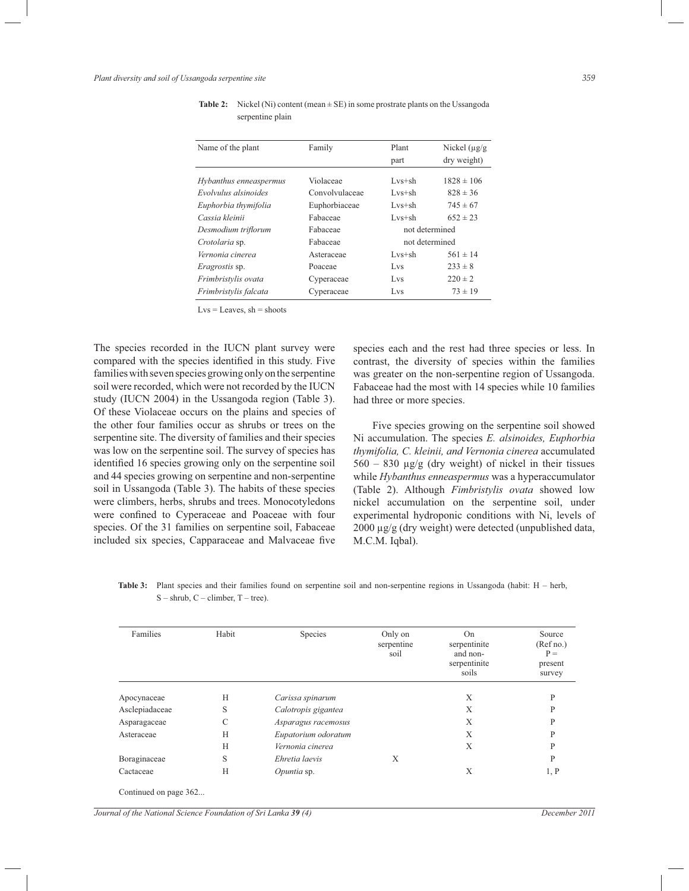| Name of the plant      | Family         | Plant          | Nickel $(\mu g/g)$ |
|------------------------|----------------|----------------|--------------------|
|                        |                | part           | dry weight)        |
| Hybanthus enneaspermus | Violaceae      | $Lvs+sh$       | $1828 \pm 106$     |
| Evolvulus alsinoides   | Convolvulaceae | $Lvs+sh$       | $828 \pm 36$       |
| Euphorbia thymifolia   | Euphorbiaceae  | $Lvs+sh$       | $745 \pm 67$       |
| Cassia kleinii         | Fabaceae       | $Lvs+sh$       | $652 \pm 23$       |
| Desmodium triflorum    | Fabaceae       | not determined |                    |
| Crotolaria sp.         | Fabaceae       | not determined |                    |
| Vernonia cinerea       | Asteraceae     | $Lvs+sh$       | $561 \pm 14$       |
| Eragrostis sp.         | Poaceae        | Lvs            | $233 \pm 8$        |
| Frimbristvlis ovata    | Cyperaceae     | Lvs            | $220 \pm 2$        |
| Frimbristvlis falcata  | Cyperaceae     | Lvs            | $73 \pm 19$        |

| <b>Table 2:</b> Nickel (Ni) content (mean $\pm$ SE) in some prostrate plants on the Ussangoda |
|-----------------------------------------------------------------------------------------------|
| serpentine plain                                                                              |

 $Lvs = Leaves$ ,  $sh = shoots$ 

The species recorded in the IUCN plant survey were compared with the species identified in this study. Five families with seven species growing only on the serpentine soil were recorded, which were not recorded by the IUCN study (IUCN 2004) in the Ussangoda region (Table 3). Of these Violaceae occurs on the plains and species of the other four families occur as shrubs or trees on the serpentine site. The diversity of families and their species was low on the serpentine soil. The survey of species has identified 16 species growing only on the serpentine soil and 44 species growing on serpentine and non-serpentine soil in Ussangoda (Table 3). The habits of these species were climbers, herbs, shrubs and trees. Monocotyledons were confined to Cyperaceae and Poaceae with four species. Of the 31 families on serpentine soil, Fabaceae included six species, Capparaceae and Malvaceae five species each and the rest had three species or less. In contrast, the diversity of species within the families was greater on the non-serpentine region of Ussangoda. Fabaceae had the most with 14 species while 10 families had three or more species.

 Five species growing on the serpentine soil showed Ni accumulation. The species *E. alsinoides, Euphorbia thymifolia, C. kleinii, and Vernonia cinerea* accumulated  $560 - 830$   $\mu$ g/g (dry weight) of nickel in their tissues while *Hybanthus enneaspermus* was a hyperaccumulator (Table 2). Although *Fimbristylis ovata* showed low nickel accumulation on the serpentine soil, under experimental hydroponic conditions with Ni, levels of 2000 µg/g (dry weight) were detected (unpublished data, M.C.M. Iqbal).

**Table 3:** Plant species and their families found on serpentine soil and non-serpentine regions in Ussangoda (habit: H – herb,  $S -$ shrub,  $C -$ climber,  $T -$ tree).

| Families              | Habit | Species             | Only on<br>serpentine<br>soil | On<br>serpentinite<br>and non-<br>serpentinite<br>soils | Source<br>(Ref no.)<br>$P =$<br>present<br>survey |
|-----------------------|-------|---------------------|-------------------------------|---------------------------------------------------------|---------------------------------------------------|
| Apocynaceae           | H     | Carissa spinarum    |                               | X                                                       | P                                                 |
| Asclepiadaceae        | S     | Calotropis gigantea |                               | X                                                       | P                                                 |
| Asparagaceae          | C     | Asparagus racemosus |                               | X                                                       | P                                                 |
| Asteraceae            | H     | Eupatorium odoratum |                               | X                                                       | P                                                 |
|                       | H     | Vernonia cinerea    |                               | X                                                       | P                                                 |
| Boraginaceae          | S     | Ehretia laevis      | X                             |                                                         | P                                                 |
| Cactaceae             | H     | Opuntia sp.         |                               | X                                                       | 1, P                                              |
| Continued on page 362 |       |                     |                               |                                                         |                                                   |

*Journal of the National Science Foundation of Sri Lanka 39 (4) December 2011*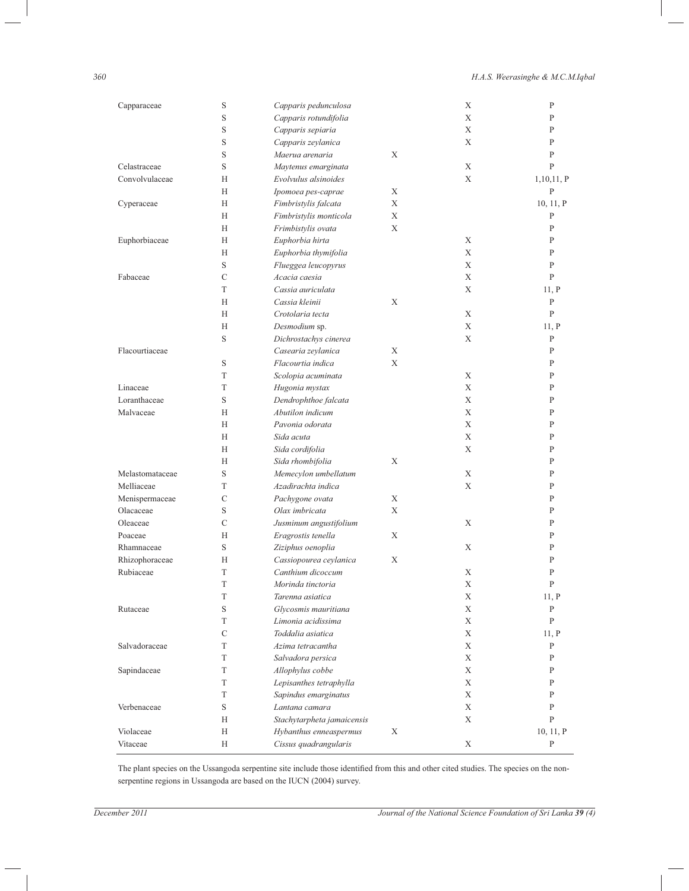## *360 H.A.S. Weerasinghe & M.C.M.Iqbal*

| Capparaceae     | S             | Capparis pedunculosa       |   | Χ           | P            |
|-----------------|---------------|----------------------------|---|-------------|--------------|
|                 | S             | Capparis rotundifolia      |   | X           | P            |
|                 | S             | Capparis sepiaria          |   | X           | P            |
|                 | S             | Capparis zeylanica         |   | X           | P            |
|                 | S             | Maerua arenaria            | X |             | P            |
| Celastraceae    | S             | Maytenus emarginata        |   | Χ           | P            |
| Convolvulaceae  | Н             | Evolvulus alsinoides       |   | X           | 1,10,11, P   |
|                 | Н             | Ipomoea pes-caprae         | Χ |             | P            |
| Cyperaceae      | Н             | Fimbristylis falcata       | X |             | 10, 11, P    |
|                 | Н             | Fimbristylis monticola     | X |             | P            |
|                 | Н             | Frimbistylis ovata         | X |             | P            |
| Euphorbiaceae   | Н             | Euphorbia hirta            |   | Χ           | P            |
|                 | Н             | Euphorbia thymifolia       |   | Χ           | P            |
|                 | S             | Flueggea leucopyrus        |   | X           | $\mathbf{P}$ |
| Fabaceae        | $\mathcal{C}$ | Acacia caesia              |   | X           | $\mathsf{P}$ |
|                 | T             | Cassia auriculata          |   | X           | 11, P        |
|                 | Н             | Cassia kleinii             | Χ |             | P            |
|                 | Н             | Crotolaria tecta           |   | X           | P            |
|                 | Н             | Desmodium sp.              |   | Χ           | 11, P        |
|                 | S             | Dichrostachys cinerea      |   | X           | $\mathbf{P}$ |
| Flacourtiaceae  |               | Casearia zeylanica         | X |             | $\mathbf{P}$ |
|                 | S             | Flacourtia indica          | X |             | P            |
|                 | T             | Scolopia acuminata         |   | Χ           | P            |
| Linaceae        | T             | Hugonia mystax             |   | X           | P            |
| Loranthaceae    | S             | Dendrophthoe falcata       |   | X           | P            |
| Malvaceae       | Н             | Abutilon indicum           |   | X           | P            |
|                 | Н             | Pavonia odorata            |   | X           | P            |
|                 | Н             | Sida acuta                 |   | X           | P            |
|                 | Н             | Sida cordifolia            |   | X           | P            |
|                 | Н             | Sida rhombifolia           | Χ |             | P            |
| Melastomataceae | S             | Memecylon umbellatum       |   | X           | P            |
| Melliaceae      | T             | Azadirachta indica         |   | X           | P            |
| Menispermaceae  | C             | Pachygone ovata            | X |             | P            |
| Olacaceae       | S             | Olax imbricata             | X |             | P            |
| Oleaceae        | $\mathcal{C}$ | Jusminum angustifolium     |   | X           | P            |
| Poaceae         | Н             | Eragrostis tenella         | X |             | P            |
| Rhamnaceae      | S             | Ziziphus oenoplia          |   | X           | P            |
| Rhizophoraceae  | Н             | Cassiopourea ceylanica     | Χ |             | P            |
| Rubiaceae       | T             | Canthium dicoccum          |   | Χ           | P            |
|                 | T             | Morinda tinctoria          |   | X           | P            |
|                 | T             | Tarenna asiatica           |   | Χ           | 11, P        |
| Rutaceae        | $\mathbf S$   | Glycosmis mauritiana       |   | Χ           | P            |
|                 | T             | Limonia acidissima         |   | X           | P            |
|                 | $\mathcal{C}$ | Toddalia asiatica          |   | X           | 11, P        |
| Salvadoraceae   | T             | Azima tetracantha          |   | X           | P            |
|                 | T             | Salvadora persica          |   | X           | P            |
| Sapindaceae     | T             | Allophylus cobbe           |   | X           | P            |
|                 | T             | Lepisanthes tetraphylla    |   | X           | P            |
|                 | T             | Sapindus emarginatus       |   | X           | P            |
| Verbenaceae     | $\mathbf S$   | Lantana camara             |   | $\mathbf X$ | P            |
|                 | Н             | Stachytarpheta jamaicensis |   | Χ           | P            |
| Violaceae       | Н             | Hybanthus enneaspermus     | Χ |             | 10, 11, P    |
| Vitaceae        | Η             | Cissus quadrangularis      |   | $\mathbf X$ | P            |

The plant species on the Ussangoda serpentine site include those identified from this and other cited studies. The species on the nonserpentine regions in Ussangoda are based on the IUCN (2004) survey.

| I              |             |             |  |
|----------------|-------------|-------------|--|
| 전 사<br>۰.<br>v | I<br>$\sim$ | ٦<br>$\sim$ |  |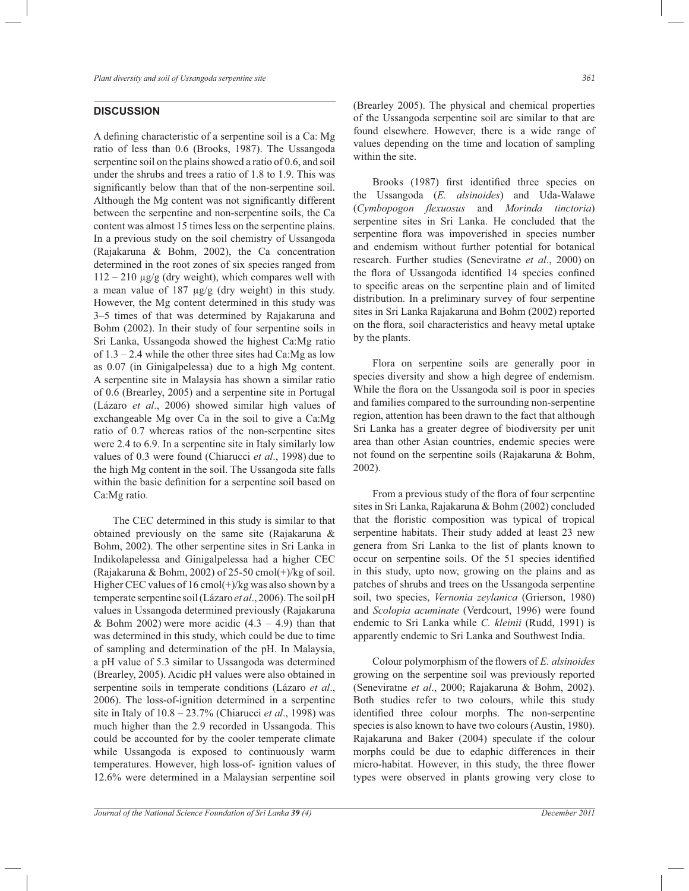## **DISCUSSION**

A defining characteristic of a serpentine soil is a Ca: Mg ratio of less than 0.6 (Brooks, 1987). The Ussangoda serpentine soil on the plains showed a ratio of 0.6, and soil under the shrubs and trees a ratio of 1.8 to 1.9. This was significantly below than that of the non-serpentine soil. Although the Mg content was not significantly different between the serpentine and non-serpentine soils, the Ca content was almost 15 times less on the serpentine plains. In a previous study on the soil chemistry of Ussangoda (Rajakaruna & Bohm, 2002), the Ca concentration determined in the root zones of six species ranged from  $112 - 210 \mu g/g$  (dry weight), which compares well with a mean value of  $187 \mu g/g$  (dry weight) in this study. However, the Mg content determined in this study was 3–5 times of that was determined by Rajakaruna and Bohm (2002). In their study of four serpentine soils in Sri Lanka, Ussangoda showed the highest Ca:Mg ratio of  $1.3 - 2.4$  while the other three sites had Ca:Mg as low as 0.07 (in Ginigalpelessa) due to a high Mg content. A serpentine site in Malaysia has shown a similar ratio of 0.6 (Brearley, 2005) and a serpentine site in Portugal (Lázaro *et al*., 2006) showed similar high values of exchangeable Mg over Ca in the soil to give a Ca:Mg ratio of 0.7 whereas ratios of the non-serpentine sites were 2.4 to 6.9. In a serpentine site in Italy similarly low values of 0.3 were found (Chiarucci *et al*., 1998) due to the high Mg content in the soil. The Ussangoda site falls within the basic definition for a serpentine soil based on Ca:Mg ratio.

 The CEC determined in this study is similar to that obtained previously on the same site (Rajakaruna & Bohm, 2002). The other serpentine sites in Sri Lanka in Indikolapelessa and Ginigalpelessa had a higher CEC (Rajakaruna & Bohm, 2002) of 25-50 cmol $(+)$ /kg of soil. Higher CEC values of  $16 \text{ cmol}(+)$ /kg was also shown by a temperate serpentine soil (Lázaro *et al*., 2006). The soil pH values in Ussangoda determined previously (Rajakaruna & Bohm 2002) were more acidic  $(4.3 - 4.9)$  than that was determined in this study, which could be due to time of sampling and determination of the pH. In Malaysia, a pH value of 5.3 similar to Ussangoda was determined (Brearley, 2005). Acidic pH values were also obtained in serpentine soils in temperate conditions (Lázaro *et al*., 2006). The loss-of-ignition determined in a serpentine site in Italy of 10.8 – 23.7% (Chiarucci *et al*., 1998) was much higher than the 2.9 recorded in Ussangoda. This could be accounted for by the cooler temperate climate while Ussangoda is exposed to continuously warm temperatures. However, high loss-of- ignition values of 12.6% were determined in a Malaysian serpentine soil

(Brearley 2005). The physical and chemical properties of the Ussangoda serpentine soil are similar to that are found elsewhere. However, there is a wide range of values depending on the time and location of sampling within the site.

 Brooks (1987) first identified three species on the Ussangoda (*E. alsinoides*) and Uda-Walawe (*Cymbopogon flexuosus* and *Morinda tinctoria*) serpentine sites in Sri Lanka. He concluded that the serpentine flora was impoverished in species number and endemism without further potential for botanical research. Further studies (Seneviratne *et al*., 2000) on the flora of Ussangoda identified 14 species confined to specific areas on the serpentine plain and of limited distribution. In a preliminary survey of four serpentine sites in Sri Lanka Rajakaruna and Bohm (2002) reported on the flora, soil characteristics and heavy metal uptake by the plants.

 Flora on serpentine soils are generally poor in species diversity and show a high degree of endemism. While the flora on the Ussangoda soil is poor in species and families compared to the surrounding non-serpentine region, attention has been drawn to the fact that although Sri Lanka has a greater degree of biodiversity per unit area than other Asian countries, endemic species were not found on the serpentine soils (Rajakaruna & Bohm, 2002).

 From a previous study of the flora of four serpentine sites in Sri Lanka, Rajakaruna & Bohm (2002) concluded that the floristic composition was typical of tropical serpentine habitats. Their study added at least 23 new genera from Sri Lanka to the list of plants known to occur on serpentine soils. Of the 51 species identified in this study, upto now, growing on the plains and as patches of shrubs and trees on the Ussangoda serpentine soil, two species, *Vernonia zeylanica* (Grierson, 1980) and *Scolopia acuminate* (Verdcourt, 1996) were found endemic to Sri Lanka while *C. kleinii* (Rudd, 1991) is apparently endemic to Sri Lanka and Southwest India.

 Colour polymorphism of the flowers of *E. alsinoides* growing on the serpentine soil was previously reported (Seneviratne *et al*., 2000; Rajakaruna & Bohm, 2002). Both studies refer to two colours, while this study identified three colour morphs. The non-serpentine species is also known to have two colours (Austin, 1980). Rajakaruna and Baker (2004) speculate if the colour morphs could be due to edaphic differences in their micro-habitat. However, in this study, the three flower types were observed in plants growing very close to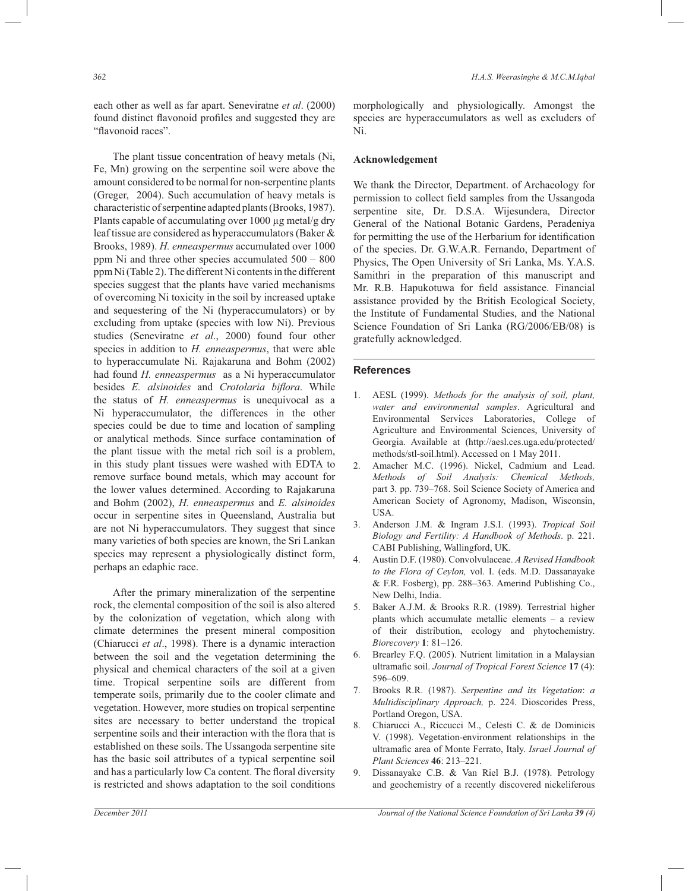each other as well as far apart. Seneviratne *et al*. (2000) found distinct flavonoid profiles and suggested they are "flavonoid races".

 The plant tissue concentration of heavy metals (Ni, Fe, Mn) growing on the serpentine soil were above the amount considered to be normal for non-serpentine plants (Greger, 2004). Such accumulation of heavy metals is characteristic of serpentine adapted plants (Brooks, 1987). Plants capable of accumulating over 1000 µg metal/g dry leaf tissue are considered as hyperaccumulators (Baker & Brooks, 1989). *H. enneaspermus* accumulated over 1000 ppm Ni and three other species accumulated 500 – 800 ppm Ni (Table 2). The different Ni contents in the different species suggest that the plants have varied mechanisms of overcoming Ni toxicity in the soil by increased uptake and sequestering of the Ni (hyperaccumulators) or by excluding from uptake (species with low Ni). Previous studies (Seneviratne *et al*., 2000) found four other species in addition to *H. enneaspermus*, that were able to hyperaccumulate Ni. Rajakaruna and Bohm (2002) had found *H. enneaspermus* as a Ni hyperaccumulator besides *E. alsinoides* and *Crotolaria biflora*. While the status of *H. enneaspermus* is unequivocal as a Ni hyperaccumulator, the differences in the other species could be due to time and location of sampling or analytical methods. Since surface contamination of the plant tissue with the metal rich soil is a problem, in this study plant tissues were washed with EDTA to remove surface bound metals, which may account for the lower values determined. According to Rajakaruna and Bohm (2002), *H. enneaspermus* and *E. alsinoides* occur in serpentine sites in Queensland, Australia but are not Ni hyperaccumulators. They suggest that since many varieties of both species are known, the Sri Lankan species may represent a physiologically distinct form, perhaps an edaphic race.

 After the primary mineralization of the serpentine rock, the elemental composition of the soil is also altered by the colonization of vegetation, which along with climate determines the present mineral composition (Chiarucci *et al*., 1998). There is a dynamic interaction between the soil and the vegetation determining the physical and chemical characters of the soil at a given time. Tropical serpentine soils are different from temperate soils, primarily due to the cooler climate and vegetation. However, more studies on tropical serpentine sites are necessary to better understand the tropical serpentine soils and their interaction with the flora that is established on these soils. The Ussangoda serpentine site has the basic soil attributes of a typical serpentine soil and has a particularly low Ca content. The floral diversity is restricted and shows adaptation to the soil conditions

morphologically and physiologically. Amongst the species are hyperaccumulators as well as excluders of Ni.

### **Acknowledgement**

We thank the Director, Department. of Archaeology for permission to collect field samples from the Ussangoda serpentine site, Dr. D.S.A. Wijesundera, Director General of the National Botanic Gardens, Peradeniya for permitting the use of the Herbarium for identification of the species. Dr. G.W.A.R. Fernando, Department of Physics, The Open University of Sri Lanka, Ms. Y.A.S. Samithri in the preparation of this manuscript and Mr. R.B. Hapukotuwa for field assistance. Financial assistance provided by the British Ecological Society, the Institute of Fundamental Studies, and the National Science Foundation of Sri Lanka (RG/2006/EB/08) is gratefully acknowledged.

### **References**

- 1. AESL (1999). *Methods for the analysis of soil, plant, water and environmental samples*. Agricultural and Environmental Services Laboratories, College of Agriculture and Environmental Sciences, University of Georgia. Available at (http://aesl.ces.uga.edu/protected/ methods/stl-soil.html). Accessed on 1 May 2011.
- 2. Amacher M.C. (1996). Nickel, Cadmium and Lead. *Methods of Soil Analysis: Chemical Methods,*  part 3*.* pp. 739–768. Soil Science Society of America and American Society of Agronomy, Madison, Wisconsin, USA.
- 3. Anderson J.M. & Ingram J.S.I. (1993). *Tropical Soil Biology and Fertility: A Handbook of Methods*. p. 221. CABI Publishing, Wallingford, UK.
- 4. Austin D.F. (1980). Convolvulaceae. *A Revised Handbook to the Flora of Ceylon,* vol. I. (eds. M.D. Dassanayake & F.R. Fosberg), pp. 288–363. Amerind Publishing Co., New Delhi, India.
- 5. Baker A.J.M. & Brooks R.R. (1989). Terrestrial higher plants which accumulate metallic elements – a review of their distribution, ecology and phytochemistry. *Biorecovery* **1**: 81–126.
- 6. Brearley F.Q. (2005). Nutrient limitation in a Malaysian ultramafic soil. *Journal of Tropical Forest Science* **17** (4): 596–609.
- 7. Brooks R.R. (1987). *Serpentine and its Vegetation*: *a Multidisciplinary Approach,* p. 224. Dioscorides Press, Portland Oregon, USA.
- 8. Chiarucci A., Riccucci M., Celesti C. & de Dominicis V. (1998). Vegetation-environment relationships in the ultramafic area of Monte Ferrato, Italy. *Israel Journal of Plant Sciences* **46**: 213–221.
- 9. Dissanayake C.B. & Van Riel B.J. (1978). Petrology and geochemistry of a recently discovered nickeliferous